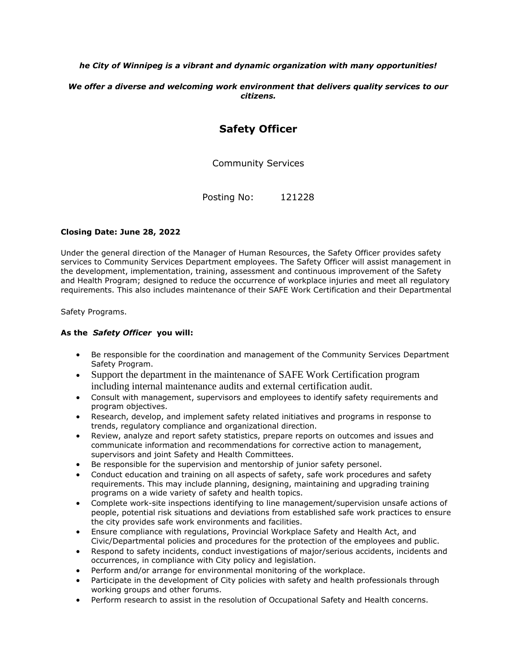### *he City of Winnipeg is a vibrant and dynamic organization with many opportunities!*

*We offer a diverse and welcoming work environment that delivers quality services to our citizens.*

# **Safety Officer**

Community Services

Posting No: 121228

#### **Closing Date: June 28, 2022**

Under the general direction of the Manager of Human Resources, the Safety Officer provides safety services to Community Services Department employees. The Safety Officer will assist management in the development, implementation, training, assessment and continuous improvement of the Safety and Health Program; designed to reduce the occurrence of workplace injuries and meet all regulatory requirements. This also includes maintenance of their SAFE Work Certification and their Departmental

Safety Programs.

#### **As the** *Safety Officer* **you will:**

- Be responsible for the coordination and management of the Community Services Department Safety Program.
- Support the department in the maintenance of SAFE Work Certification program including internal maintenance audits and external certification audit.
- Consult with management, supervisors and employees to identify safety requirements and program objectives.
- Research, develop, and implement safety related initiatives and programs in response to trends, regulatory compliance and organizational direction.
- Review, analyze and report safety statistics, prepare reports on outcomes and issues and communicate information and recommendations for corrective action to management, supervisors and joint Safety and Health Committees.
- Be responsible for the supervision and mentorship of junior safety personel.
- Conduct education and training on all aspects of safety, safe work procedures and safety requirements. This may include planning, designing, maintaining and upgrading training programs on a wide variety of safety and health topics.
- Complete work-site inspections identifying to line management/supervision unsafe actions of people, potential risk situations and deviations from established safe work practices to ensure the city provides safe work environments and facilities.
- Ensure compliance with regulations, Provincial Workplace Safety and Health Act, and Civic/Departmental policies and procedures for the protection of the employees and public.
- Respond to safety incidents, conduct investigations of major/serious accidents, incidents and occurrences, in compliance with City policy and legislation.
- Perform and/or arrange for environmental monitoring of the workplace.
- Participate in the development of City policies with safety and health professionals through working groups and other forums.
- Perform research to assist in the resolution of Occupational Safety and Health concerns.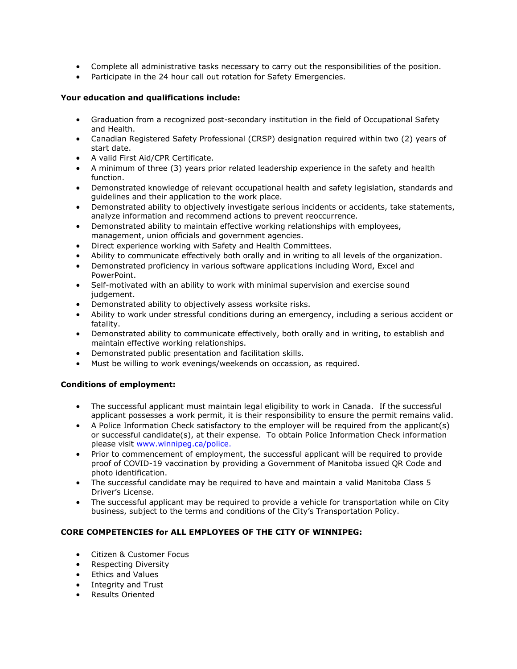- Complete all administrative tasks necessary to carry out the responsibilities of the position.
- Participate in the 24 hour call out rotation for Safety Emergencies.

### **Your education and qualifications include:**

- Graduation from a recognized post-secondary institution in the field of Occupational Safety and Health.
- Canadian Registered Safety Professional (CRSP) designation required within two (2) years of start date.
- A valid First Aid/CPR Certificate.
- A minimum of three (3) years prior related leadership experience in the safety and health function.
- Demonstrated knowledge of relevant occupational health and safety legislation, standards and guidelines and their application to the work place.
- Demonstrated ability to objectively investigate serious incidents or accidents, take statements, analyze information and recommend actions to prevent reoccurrence.
- Demonstrated ability to maintain effective working relationships with employees, management, union officials and government agencies.
- Direct experience working with Safety and Health Committees.
- Ability to communicate effectively both orally and in writing to all levels of the organization.
- Demonstrated proficiency in various software applications including Word, Excel and PowerPoint.
- Self-motivated with an ability to work with minimal supervision and exercise sound judgement.
- Demonstrated ability to objectively assess worksite risks.
- Ability to work under stressful conditions during an emergency, including a serious accident or fatality.
- Demonstrated ability to communicate effectively, both orally and in writing, to establish and maintain effective working relationships.
- Demonstrated public presentation and facilitation skills.
- Must be willing to work evenings/weekends on occassion, as required.

# **Conditions of employment:**

- The successful applicant must maintain legal eligibility to work in Canada. If the successful applicant possesses a work permit, it is their responsibility to ensure the permit remains valid.
- A Police Information Check satisfactory to the employer will be required from the applicant(s) or successful candidate(s), at their expense. To obtain Police Information Check information please visit [www.winnipeg.ca/police.](http://www.winnipeg.ca/police)
- Prior to commencement of employment, the successful applicant will be required to provide proof of COVID-19 vaccination by providing a Government of Manitoba issued QR Code and photo identification.
- The successful candidate may be required to have and maintain a valid Manitoba Class 5 Driver's License.
- The successful applicant may be required to provide a vehicle for transportation while on City business, subject to the terms and conditions of the City's Transportation Policy.

# **CORE COMPETENCIES for ALL EMPLOYEES OF THE CITY OF WINNIPEG:**

- Citizen & Customer Focus
- Respecting Diversity
- Ethics and Values
- Integrity and Trust
- Results Oriented